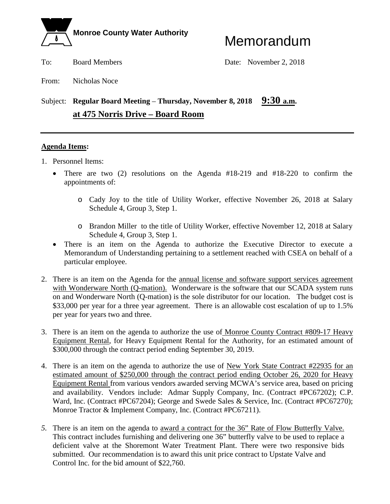

To: Board Members Date: November 2, 2018

From: Nicholas Noce

### Subject: **Regular Board Meeting – Thursday, November 8, 2018** 9:30 a.m. **at 475 Norris Drive – Board Room**

#### **Agenda Items:**

- 1. Personnel Items:
	- There are two (2) resolutions on the Agenda #18-219 and #18-220 to confirm the appointments of:
		- o Cady Joy to the title of Utility Worker, effective November 26, 2018 at Salary Schedule 4, Group 3, Step 1.
		- o Brandon Miller to the title of Utility Worker, effective November 12, 2018 at Salary Schedule 4, Group 3, Step 1.
	- There is an item on the Agenda to authorize the Executive Director to execute a Memorandum of Understanding pertaining to a settlement reached with CSEA on behalf of a particular employee.
- 2. There is an item on the Agenda for the annual license and software support services agreement with Wonderware North (Q-mation). Wonderware is the software that our SCADA system runs on and Wonderware North (Q-mation) is the sole distributor for our location. The budget cost is \$33,000 per year for a three year agreement. There is an allowable cost escalation of up to 1.5% per year for years two and three.
- 3. There is an item on the agenda to authorize the use of Monroe County Contract #809-17 Heavy Equipment Rental, for Heavy Equipment Rental for the Authority, for an estimated amount of \$300,000 through the contract period ending September 30, 2019.
- 4. There is an item on the agenda to authorize the use of New York State Contract #22935 for an estimated amount of \$250,000 through the contract period ending October 26, 2020 for Heavy Equipment Rental from various vendors awarded serving MCWA's service area, based on pricing and availability. Vendors include: Admar Supply Company, Inc. (Contract #PC67202); C.P. Ward, Inc. (Contract #PC67204); George and Swede Sales & Service, Inc. (Contract #PC67270); Monroe Tractor & Implement Company, Inc. (Contract #PC67211).
- *5.* There is an item on the agenda to award a contract for the 36" Rate of Flow Butterfly Valve. This contract includes furnishing and delivering one 36" butterfly valve to be used to replace a deficient valve at the Shoremont Water Treatment Plant. There were two responsive bids submitted. Our recommendation is to award this unit price contract to Upstate Valve and Control Inc. for the bid amount of \$22,760.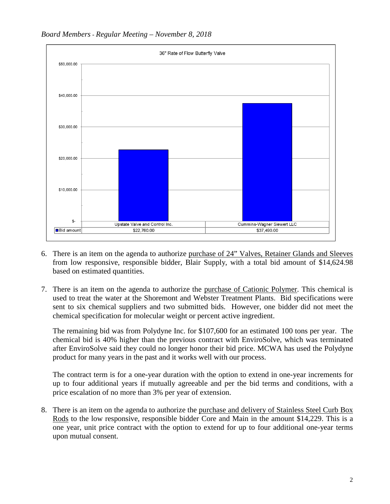



- 6. There is an item on the agenda to authorize purchase of 24" Valves, Retainer Glands and Sleeves from low responsive, responsible bidder, Blair Supply, with a total bid amount of \$14,624.98 based on estimated quantities.
- 7. There is an item on the agenda to authorize the purchase of Cationic Polymer. This chemical is used to treat the water at the Shoremont and Webster Treatment Plants. Bid specifications were sent to six chemical suppliers and two submitted bids. However, one bidder did not meet the chemical specification for molecular weight or percent active ingredient.

The remaining bid was from Polydyne Inc. for \$107,600 for an estimated 100 tons per year. The chemical bid is 40% higher than the previous contract with EnviroSolve, which was terminated after EnviroSolve said they could no longer honor their bid price. MCWA has used the Polydyne product for many years in the past and it works well with our process.

The contract term is for a one-year duration with the option to extend in one-year increments for up to four additional years if mutually agreeable and per the bid terms and conditions, with a price escalation of no more than 3% per year of extension.

8. There is an item on the agenda to authorize the purchase and delivery of Stainless Steel Curb Box Rods to the low responsive, responsible bidder Core and Main in the amount \$14,229. This is a one year, unit price contract with the option to extend for up to four additional one-year terms upon mutual consent.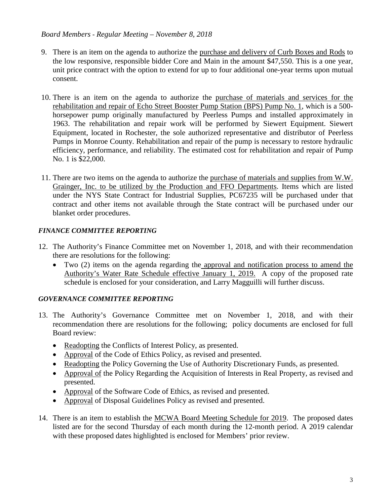#### *Board Members - Regular Meeting – November 8, 2018*

- 9. There is an item on the agenda to authorize the purchase and delivery of Curb Boxes and Rods to the low responsive, responsible bidder Core and Main in the amount \$47,550. This is a one year, unit price contract with the option to extend for up to four additional one-year terms upon mutual consent.
- 10. There is an item on the agenda to authorize the purchase of materials and services for the rehabilitation and repair of Echo Street Booster Pump Station (BPS) Pump No. 1, which is a 500 horsepower pump originally manufactured by Peerless Pumps and installed approximately in 1963. The rehabilitation and repair work will be performed by Siewert Equipment. Siewert Equipment, located in Rochester, the sole authorized representative and distributor of Peerless Pumps in Monroe County. Rehabilitation and repair of the pump is necessary to restore hydraulic efficiency, performance, and reliability. The estimated cost for rehabilitation and repair of Pump No. 1 is \$22,000.
- 11. There are two items on the agenda to authorize the purchase of materials and supplies from W.W. Grainger, Inc. to be utilized by the Production and FFO Departments. Items which are listed under the NYS State Contract for Industrial Supplies, PC67235 will be purchased under that contract and other items not available through the State contract will be purchased under our blanket order procedures.

#### *FINANCE COMMITTEE REPORTING*

- 12. The Authority's Finance Committee met on November 1, 2018, and with their recommendation there are resolutions for the following:
	- Two (2) items on the agenda regarding the approval and notification process to amend the Authority's Water Rate Schedule effective January 1, 2019. A copy of the proposed rate schedule is enclosed for your consideration, and Larry Magguilli will further discuss.

#### *GOVERNANCE COMMITTEE REPORTING*

- 13. The Authority's Governance Committee met on November 1, 2018, and with their recommendation there are resolutions for the following; policy documents are enclosed for full Board review:
	- Readopting the Conflicts of Interest Policy, as presented.
	- Approval of the Code of Ethics Policy, as revised and presented.
	- Readopting the Policy Governing the Use of Authority Discretionary Funds, as presented.
	- Approval of the Policy Regarding the Acquisition of Interests in Real Property, as revised and presented.
	- Approval of the Software Code of Ethics, as revised and presented.
	- Approval of Disposal Guidelines Policy as revised and presented.
- 14. There is an item to establish the MCWA Board Meeting Schedule for 2019. The proposed dates listed are for the second Thursday of each month during the 12-month period. A 2019 calendar with these proposed dates highlighted is enclosed for Members' prior review.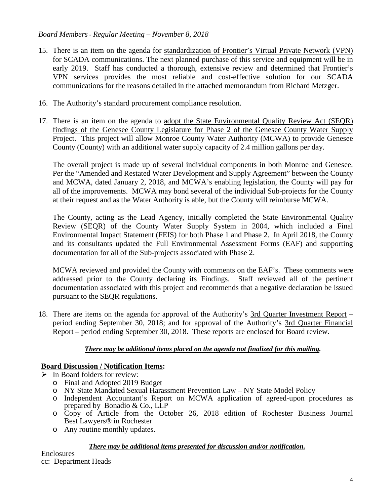#### *Board Members - Regular Meeting – November 8, 2018*

- 15. There is an item on the agenda for standardization of Frontier's Virtual Private Network (VPN) for SCADA communications. The next planned purchase of this service and equipment will be in early 2019. Staff has conducted a thorough, extensive review and determined that Frontier's VPN services provides the most reliable and cost-effective solution for our SCADA communications for the reasons detailed in the attached memorandum from Richard Metzger.
- 16. The Authority's standard procurement compliance resolution.
- 17. There is an item on the agenda to adopt the State Environmental Quality Review Act (SEQR) findings of the Genesee County Legislature for Phase 2 of the Genesee County Water Supply Project. This project will allow Monroe County Water Authority (MCWA) to provide Genesee County (County) with an additional water supply capacity of 2.4 million gallons per day.

The overall project is made up of several individual components in both Monroe and Genesee. Per the "Amended and Restated Water Development and Supply Agreement" between the County and MCWA, dated January 2, 2018, and MCWA's enabling legislation, the County will pay for all of the improvements. MCWA may bond several of the individual Sub-projects for the County at their request and as the Water Authority is able, but the County will reimburse MCWA.

The County, acting as the Lead Agency, initially completed the State Environmental Quality Review (SEQR) of the County Water Supply System in 2004, which included a Final Environmental Impact Statement (FEIS) for both Phase 1 and Phase 2. In April 2018, the County and its consultants updated the Full Environmental Assessment Forms (EAF) and supporting documentation for all of the Sub-projects associated with Phase 2.

MCWA reviewed and provided the County with comments on the EAF's. These comments were addressed prior to the County declaring its Findings. Staff reviewed all of the pertinent documentation associated with this project and recommends that a negative declaration be issued pursuant to the SEQR regulations.

18. There are items on the agenda for approval of the Authority's 3rd Quarter Investment Report – period ending September 30, 2018; and for approval of the Authority's 3rd Quarter Financial Report – period ending September 30, 2018. These reports are enclosed for Board review.

#### *There may be additional items placed on the agenda not finalized for this mailing.*

#### **Board Discussion / Notification Items:**

- $\triangleright$  In Board folders for review:
	- o Final and Adopted 2019 Budget
	- o NY State Mandated Sexual Harassment Prevention Law NY State Model Policy
	- o Independent Accountant's Report on MCWA application of agreed-upon procedures as prepared by Bonadio & Co., LLP
	- o Copy of Article from the October 26, 2018 edition of Rochester Business Journal Best Lawyers® in Rochester
	- o Any routine monthly updates.

#### *There may be additional items presented for discussion and/or notification.*

**Enclosures** cc: Department Heads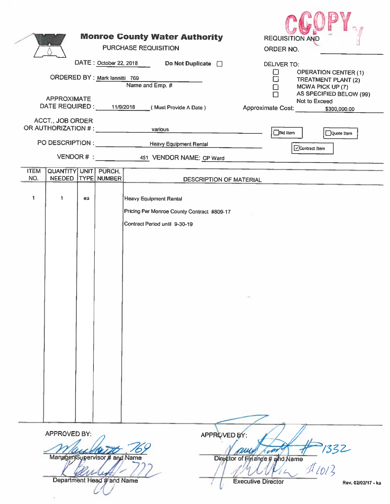| <b>APPROXIMATE</b><br><b>ACCT., JOB ORDER</b><br>OR AUTHORIZATION # : _ _ _ _ _ _ _ _ _<br>PO DESCRIPTION : NOTE AND THE STATE OF THE STATE OF THE STATE OF THE STATE OF THE STATE OF THE STATE OF THE STATE OF THE STATE OF THE STATE OF THE STATE OF THE STATE OF THE STATE OF THE STATE OF THE STATE OF THE STATE OF T | <b>Monroe County Water Authority</b><br>PURCHASE REQUISITION<br>DATE: October 22, 2018<br>Do Not Duplicate <b>D</b><br>ORDERED BY : Mark lannitti 769<br>Name and Emp. #<br>DATE REQUIRED: 11/9/2018 (Must Provide A Date)<br>various<br><b>Heavy Equipment Rental</b><br>VENDOR # : 451 VENDOR NAME: CP Ward | <b>REQUISITION AND</b><br>ORDER NO.<br><b>DELIVER TO:</b><br><b>OPERATION CENTER (1)</b><br>ப<br>□<br>TREATMENT PLANT (2)<br>$\Box$<br>MCWA PICK UP (7)<br>AS SPECIFIED BELOW (99)<br>$\Box$<br>Not to Exceed<br>Approximate Cost:<br>\$300,000.00<br>$\Box$ Bid item<br>Quote Item<br>Ccontract Item |
|---------------------------------------------------------------------------------------------------------------------------------------------------------------------------------------------------------------------------------------------------------------------------------------------------------------------------|---------------------------------------------------------------------------------------------------------------------------------------------------------------------------------------------------------------------------------------------------------------------------------------------------------------|-------------------------------------------------------------------------------------------------------------------------------------------------------------------------------------------------------------------------------------------------------------------------------------------------------|
| QUANTITY UNIT PURCH.<br><b>ITEM</b>                                                                                                                                                                                                                                                                                       |                                                                                                                                                                                                                                                                                                               |                                                                                                                                                                                                                                                                                                       |
| NEEDED   TYPE NUMBER<br>NO.                                                                                                                                                                                                                                                                                               | DESCRIPTION OF MATERIAL                                                                                                                                                                                                                                                                                       |                                                                                                                                                                                                                                                                                                       |
| $\mathbf{1}$<br>$\mathbf{1}$<br>ea                                                                                                                                                                                                                                                                                        | Heavy Equipment Rental<br>Pricing Per Monroe County Contract #809-17<br>Contract Period until 9-30-19                                                                                                                                                                                                         |                                                                                                                                                                                                                                                                                                       |
| APPROVED BY:                                                                                                                                                                                                                                                                                                              | Manager/Supervisor # and Name<br>Department Head # and Name                                                                                                                                                                                                                                                   | APPROVED BY:<br>$1/332$<br>$1/10/3$<br>v<br>Director of Finance # and Name<br><b>Executive Director</b><br>Rev. 02/02/17 - ka                                                                                                                                                                         |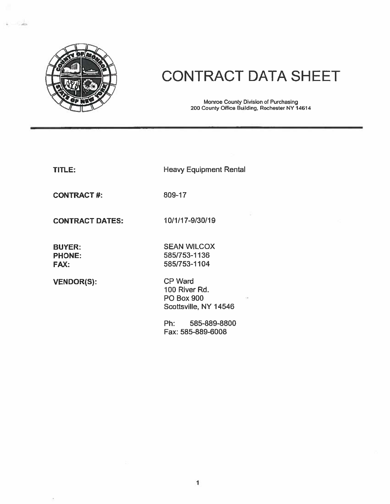

## **CONTRACT DATA SHEET**

Monroe County Division of Purchasing<br>200 County Office Building, Rochester NY 14614

| - | I |  |
|---|---|--|
|   |   |  |

**Heavy Equipment Rental** 

**CONTRACT#:** 

809-17

**CONTRACT DATES:** 

**BUYER: PHONE:** FAX:

**VENDOR(S):** 

**SEAN WILCOX** 585/753-1136 585/753-1104

10/1/17-9/30/19

CP Ward 100 River Rd. **PO Box 900** Scottsville, NY 14546

 $Ph:$ 585-889-8800 Fax: 585-889-6008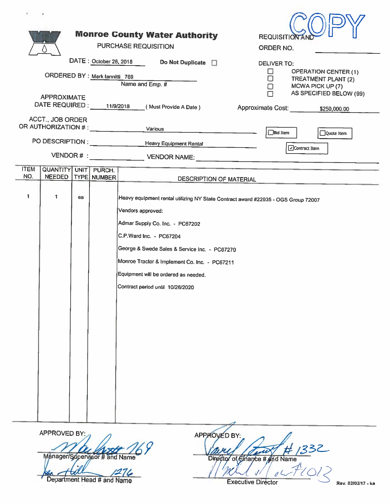|                    |                                                                |    |                                | <b>Monroe County Water Authority</b><br><b>PURCHASE REQUISITION</b>                                                                                                                                                                                                                                                                                | <b>REQUISITION AND</b><br>ORDER NO.                                                      |
|--------------------|----------------------------------------------------------------|----|--------------------------------|----------------------------------------------------------------------------------------------------------------------------------------------------------------------------------------------------------------------------------------------------------------------------------------------------------------------------------------------------|------------------------------------------------------------------------------------------|
|                    |                                                                |    |                                | DATE: October 26, 2018 Do Not Duplicate D                                                                                                                                                                                                                                                                                                          | <b>DELIVER TO:</b>                                                                       |
|                    |                                                                |    | ORDERED BY : Mark lannitti 769 | Name and Emp. #                                                                                                                                                                                                                                                                                                                                    | <b>OPERATION CENTER (1)</b><br>⊔<br>$\Box$<br>TREATMENT PLANT (2)                        |
|                    | <b>APPROXIMATE</b>                                             |    |                                | DATE REQUIRED : 11/9/2018 (Must Provide A Date)                                                                                                                                                                                                                                                                                                    | MCWA PICK UP (7)<br>□<br>AS SPECIFIED BELOW (99)<br>Approximate Cost: _____ \$250,000.00 |
|                    | <b>ACCT., JOB ORDER</b><br>OR AUTHORIZATION # : ______________ |    |                                | Various                                                                                                                                                                                                                                                                                                                                            | □Bld Item                                                                                |
|                    |                                                                |    |                                | PO DESCRIPTION : ________________________Heavy Equipment Rental                                                                                                                                                                                                                                                                                    | Quote Item<br>Contract Item                                                              |
|                    |                                                                |    |                                |                                                                                                                                                                                                                                                                                                                                                    |                                                                                          |
| <b>ITEM</b><br>NO. | QUANTITY UNIT PURCH.<br><b>NEEDED</b>                          |    | TYPE NUMBER                    | <b>DESCRIPTION OF MATERIAL</b>                                                                                                                                                                                                                                                                                                                     |                                                                                          |
| 1                  | 1                                                              | ea |                                | Heavy equipment rental utilizing NY State Contract award #22935 - OGS Group 72007<br>Vendors approved:<br>Admar Supply Co. Inc. - PC67202<br>C.P.Ward Inc. - PC67204<br>George & Swede Sales & Service Inc. - PC67270<br>Monroe Tractor & Implement Co. Inc. - PC67211<br>Equipment will be ordered as needed.<br>Contract period until 10/26/2020 |                                                                                          |
|                    | APPROVED BY:                                                   |    |                                | APPROVED BY:                                                                                                                                                                                                                                                                                                                                       |                                                                                          |

Vary Court # 1332 Executive Director

Rev. 02/02/17 - ka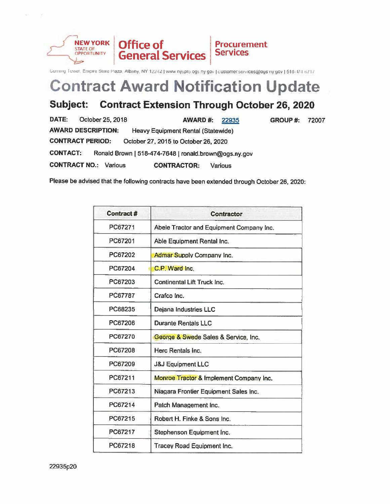

Corning Tower, Empire State Plaza, Albany, NY 12242] www.nyspro.ogs.ny.gov | customer.services@ogs.ny.gov | 518-474-6717

## **Contract Award Notification Update**

#### **Contract Extension Through October 26, 2020** Subject:

| DATE:           | October 25, 2018                                                |                                                       | AWARD#: | 22935   | <b>GROUP #: 72007</b> |  |  |
|-----------------|-----------------------------------------------------------------|-------------------------------------------------------|---------|---------|-----------------------|--|--|
|                 | <b>AWARD DESCRIPTION:</b>                                       | Heavy Equipment Rental (Statewide)                    |         |         |                       |  |  |
|                 | <b>CONTRACT PERIOD:</b><br>October 27, 2015 to October 26, 2020 |                                                       |         |         |                       |  |  |
| <b>CONTACT:</b> |                                                                 | Ronald Brown   518-474-7648   ronald.brown@ogs.ny.gov |         |         |                       |  |  |
|                 | <b>CONTRACT NO.: Various</b>                                    | <b>CONTRACTOR:</b>                                    |         | Various |                       |  |  |

Please be advised that the following contracts have been extended through October 26, 2020:

| <b>Contract #</b> | <b>Contractor</b>                        |
|-------------------|------------------------------------------|
| PC67271           | Abele Tractor and Equipment Company Inc. |
| PC67201           | Able Equipment Rental Inc.               |
| PC67202           | Admar Supply Company Inc.                |
| PC67204           | C.P. Ward Inc.                           |
| PC67203           | Continental Lift Truck Inc.              |
| PC67787           | Crafco Inc.                              |
| PC68235           | Dejana Industries LLC                    |
| PC67206           | <b>Durante Rentals LLC</b>               |
| PC67270           | George & Swede Sales & Service, Inc.     |
| PC67208           | Herc Rentals Inc.                        |
| PC67209           | <b>J&amp;J Equipment LLC</b>             |
| PC67211           | Monroe Tractor & Implement Company Inc.  |
| PC67213           | Niagara Frontier Equipment Sales Inc.    |
| PC67214           | Patch Management Inc.                    |
| PC67215           | Robert H. Finke & Sons Inc.              |
| PC67217           | Stephenson Equipment Inc.                |
| PC67218           | <b>Tracey Road Equipment Inc.</b>        |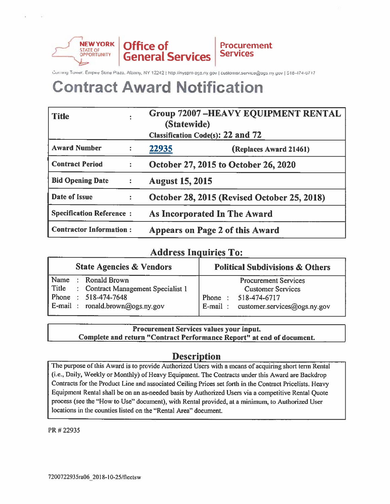

**Procurement Services** 

Corning Tower, Empire State Plaza, Albany, NY 12242 | http://nyspro.ogs.ny.gov | customer.service@ogs.ny.gov | 518-174-6717

## **Contract Award Notification**

| <b>Title</b>                    |                      | <b>Group 72007-HEAVY EQUIPMENT RENTAL</b><br>(Statewide)<br><b>Classification Code(s): 22 and 72</b> |  |  |  |
|---------------------------------|----------------------|------------------------------------------------------------------------------------------------------|--|--|--|
| <b>Award Number</b>             | $\ddot{\bullet}$     | 22935<br>(Replaces Award 21461)                                                                      |  |  |  |
| <b>Contract Period</b>          |                      | October 27, 2015 to October 26, 2020                                                                 |  |  |  |
| <b>Bid Opening Date</b>         | $\ddot{\bullet}$     | <b>August 15, 2015</b>                                                                               |  |  |  |
| Date of Issue                   | $\ddot{\phantom{a}}$ | October 28, 2015 (Revised October 25, 2018)                                                          |  |  |  |
| <b>Specification Reference:</b> |                      | As Incorporated In The Award                                                                         |  |  |  |
| <b>Contractor Information:</b>  |                      | Appears on Page 2 of this Award                                                                      |  |  |  |

#### **Address Inquiries To:**

| <b>State Agencies &amp; Vendors</b> |  |                                             | <b>Political Subdivisions &amp; Others</b> |  |  |
|-------------------------------------|--|---------------------------------------------|--------------------------------------------|--|--|
| Name                                |  | : Ronald Brown                              | <b>Procurement Services</b>                |  |  |
|                                     |  | Title : Contract Management Specialist 1    | <b>Customer Services</b>                   |  |  |
| Phone                               |  | $: 518 - 474 - 7648$                        | Phone<br>518-474-6717                      |  |  |
|                                     |  | $\mathbf{E}$ -mail: ronald.brown@ogs.ny.gov | $E$ -mail: customer.services@ogs.ny.gov    |  |  |

#### Procurement Services values your input. Complete and return "Contract Performance Report" at end of document.

#### **Description**

The purpose of this Award is to provide Authorized Users with a means of acquiring short term Rental (i.e., Daily, Weekly or Monthly) of Heavy Equipment. The Contracts under this Award are Backdrop Contracts for the Product Line and associated Ceiling Prices set forth in the Contract Pricelists. Heavy Equipment Rental shall be on an as-needed basis by Authorized Users via a competitive Rental Quote process (see the "How to Use" document), with Rental provided, at a minimum, to Authorized User locations in the counties listed on the "Rental Area" document.

PR #22935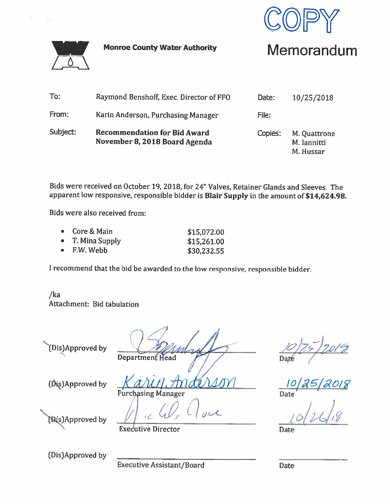

**Monroe County Water Authority** 



Memorandum

| To:      | Raymond Benshoff, Exec. Director of FFO                              | Date:   | 10/25/2018                               |
|----------|----------------------------------------------------------------------|---------|------------------------------------------|
| From:    | Karin Anderson, Purchasing Manager                                   | File:   |                                          |
| Subject: | <b>Recommendation for Bid Award</b><br>November 8, 2018 Board Agenda | Copies: | M. Quattrone<br>M. lannitti<br>M. Hussar |

Bids were received on October 19, 2018, for 24" Valves, Retainer Glands and Sleeves. The apparent low responsive, responsible bidder is Blair Supply in the amount of \$14,624.98.

Bids were also received from:

| $\bullet$ Core & Main | \$15,072.00 |
|-----------------------|-------------|
| • T. Mina Supply      | \$15,261.00 |
| $\bullet$ F.W. Webb   | \$30,232.55 |

I recommend that the bid be awarded to the low responsive, responsible bidder.

 $/ka$ Attachment: Bid tabulation

(Dis)Approved by

**Department Head** 

Date

**Date** 

(Dis)Approved by

(Bis)Approved by

**Executive Director** 

Purchasing Manager

(Dis)Approved by

**Executive Assistant/Board** 

**Date**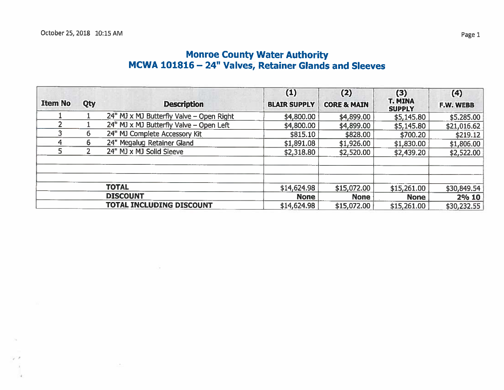# Monroe County Water Authority<br>MCWA 101816 – 24" Valves, Retainer Glands and Sleeves

| <b>Item No</b> | Qty            | <b>Description</b>                       | (1)<br><b>BLAIR SUPPLY</b> | (2)<br><b>CORE &amp; MAIN</b> | (3)<br><b>T. MINA</b><br><b>SUPPLY</b> | (4)<br><b>F.W. WEBB</b> |
|----------------|----------------|------------------------------------------|----------------------------|-------------------------------|----------------------------------------|-------------------------|
|                |                | 24" MJ x MJ Butterfly Valve - Open Right | \$4,800.00                 | \$4,899.00                    | \$5,145.80                             | \$5.285.00              |
|                |                | 24" MJ x MJ Butterfly Valve - Open Left  | \$4,800.00                 | \$4,899.00                    | \$5,145.80                             | \$21,016.62             |
|                | 6              | 24" MJ Complete Accessory Kit            | \$815.10                   | \$828.00                      | \$700.20                               | \$219.12                |
| 4              | 6              | 24" Megalug Retainer Gland               | \$1,891.08                 | \$1,926.00                    | \$1,830.00                             | \$1,806.00              |
| 5.             | $\overline{2}$ | 24" MJ x MJ Solid Sleeve                 | \$2,318.80                 | \$2,520.00                    | \$2,439.20                             | \$2,522.00              |
|                |                |                                          |                            |                               |                                        |                         |
|                |                | <b>TOTAL</b>                             | \$14,624.98                | \$15,072.00                   | \$15,261.00                            | \$30,849.54             |
|                |                | <b>DISCOUNT</b>                          | <b>None</b>                | <b>None</b>                   | <b>None</b>                            | 2% 10                   |
|                |                | TOTAL INCLUDING DISCOUNT                 | \$14,624.98                | \$15,072.00                   | \$15,261.00                            | \$30,232.55             |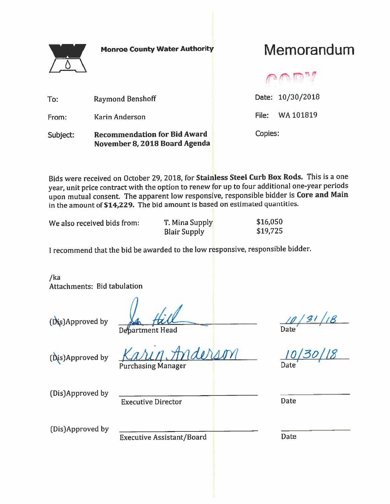

**Monroe County Water Authority** 

## Memorandum

Date: 10/30/2018 **Raymond Benshoff** To: File: WA 101819 From: Karin Anderson Copies: **Recommendation for Bid Award** Subject: November 8, 2018 Board Agenda

Bids were received on October 29, 2018, for Stainless Steel Curb Box Rods. This is a one year, unit price contract with the option to renew for up to four additional one-year periods upon mutual consent. The apparent low responsive, responsible bidder is Core and Main in the amount of \$14,229. The bid amount is based on estimated quantities.

We also received bids from:

T. Mina Supply **Blair Supply** 

\$16,050 \$19,725

I recommend that the bid be awarded to the low responsive, responsible bidder.

/ka Attachments: Bid tabulation

(Dis)Approved by

Debartment Head

(Dis)Approved by

 $\sqrt{2\pi}$ **Purchasing Manager** 

 $\frac{10}{21}$  | 18

(Dis)Approved by

**Executive Director** 

**Date** 

(Dis)Approved by

**Executive Assistant/Board** 

**Date**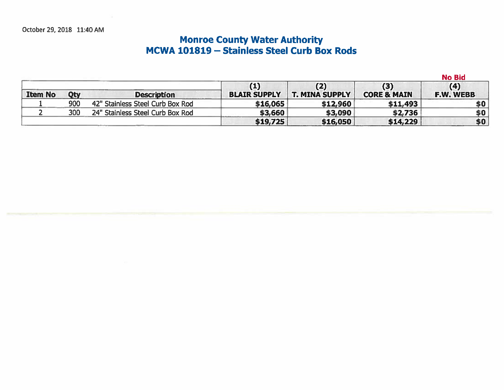## Monroe County Water Authority<br>MCWA 101819 – Stainless Steel Curb Box Rods

|                |     |                                  |                            |                              | <b>No Bid</b>                 |                  |
|----------------|-----|----------------------------------|----------------------------|------------------------------|-------------------------------|------------------|
| <b>Item No</b> | Qty | <b>Description</b>               | (1)<br><b>BLAIR SUPPLY</b> | (2)<br><b>T. MINA SUPPLY</b> | (3)<br><b>CORE &amp; MAIN</b> | (4)<br>F.W. WEBB |
|                | 900 | 42" Stainless Steel Curb Box Rod | \$16,065                   | \$12,960                     | \$11,493                      | \$0              |
|                | 300 | 24" Stainless Steel Curb Box Rod | \$3,660                    | \$3,090                      | \$2,736                       | \$0              |
|                |     |                                  | \$19,725                   | \$16,050                     | \$14,229                      | \$0              |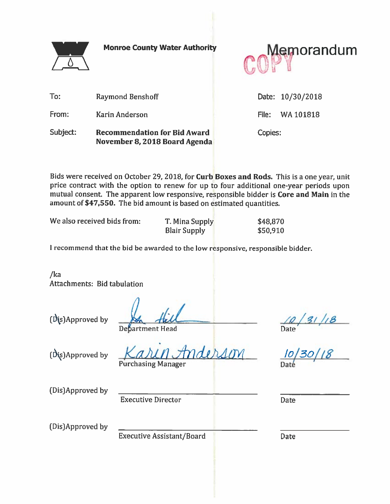

**Monroe County Water Authority** 



To: Raymond Benshoff Date: 10/30/2018 From: Karin Anderson File: WA 101818 Subject: **Recommendation for Bid Award** Copies: November 8, 2018 Board Agenda

Bids were received on October 29, 2018, for Curb Boxes and Rods. This is a one year, unit price contract with the option to renew for up to four additional one-year periods upon mutual consent. The apparent low responsive, responsible bidder is Core and Main in the amount of \$47,550. The bid amount is based on estimated quantities.

| We also received bids from: |  |
|-----------------------------|--|
|-----------------------------|--|

T. Mina Supply **Blair Supply** 

\$48,870 \$50,910

I recommend that the bid be awarded to the low responsive, responsible bidder.

 $/ka$ Attachments: Bid tabulation

(Dis)Approved by

bartment Head

(Dis)Approved by

 $\lambda$ IN **Purchasing Manager** 

 $\frac{10}{20}$ <br>Date<br> $\frac{10}{20}$ /10

(Dis)Approved by

**Executive Director** 

**Date** 

(Dis)Approved by

**Executive Assistant/Board** 

Date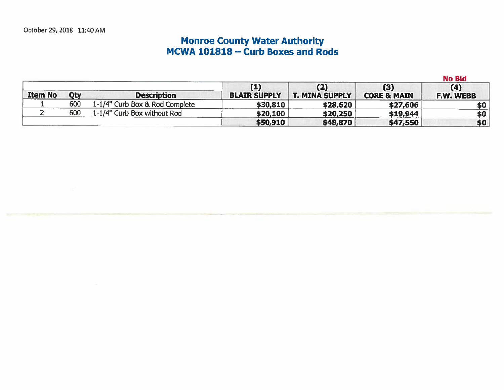October 29, 2018 11:40 AM

# **Monroe County Water Authority<br>MCWA 101818 – Curb Boxes and Rods**

**No Bid** 

|                |     |                                |                     | (2)                   | (3)                    | (4)       |
|----------------|-----|--------------------------------|---------------------|-----------------------|------------------------|-----------|
| <b>Item No</b> | Qty | <b>Description</b>             | <b>BLAIR SUPPLY</b> | <b>T. MINA SUPPLY</b> | <b>CORE &amp; MAIN</b> | F.W. WEBB |
|                | 600 | 1-1/4" Curb Box & Rod Complete | \$30,810            | \$28,620              | \$27,606               | \$0       |
|                | 600 | 1-1/4" Curb Box without Rod    | \$20,100            | \$20,250              | \$19,944               | \$0       |
|                |     |                                | \$50,910            | \$48,870              | \$47,550               | \$0       |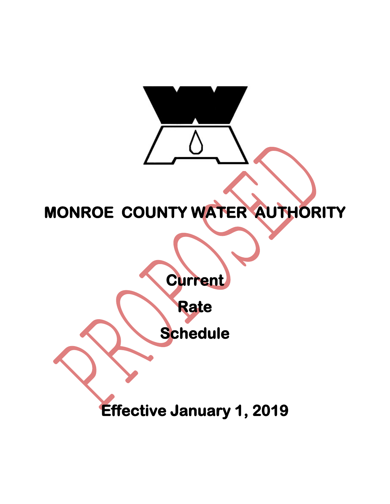

## **MONROE COUNTY WATER AUTHORITY**

**Current** 

**Rate** 

 **Schedule** 

**Effective January 1, 2019**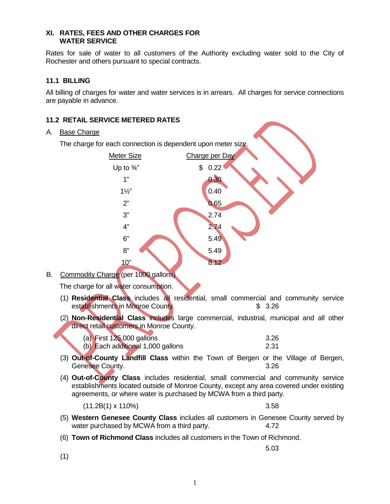#### **XI. RATES, FEES AND OTHER CHARGES FOR WATER SERVICE**

Rates for sale of water to all customers of the Authority excluding water sold to the City of Rochester and others pursuant to special contracts.

#### **11.1 BILLING**

All billing of charges for water and water services is in arrears. All charges for service connections are payable in advance.

#### **11.2 RETAIL SERVICE METERED RATES**

#### A. Base Charge

The charge for each connection is dependent upon meter size.



B. Commodity Charge (per 1000 gallons)

The charge for all water consumption.

- (1) **Residential Class** includes all residential, small commercial and community service establishments in Monroe County. **\$ 3.26**
- (2) **Non-Residential Class** includes large commercial, industrial, municipal and all other direct retail customers in Monroe County.

| (a) First $125,000$ gallons       | 3.26 |
|-----------------------------------|------|
| (b) Each additional 1,000 gallons | 2.31 |

- (3) **Out-of-County Landfill Class** within the Town of Bergen or the Village of Bergen, Genesee County. **3.26**
- (4) **Out-of-County Class** includes residential, small commercial and community service establishments located outside of Monroe County, except any area covered under existing agreements, or where water is purchased by MCWA from a third party.

 $(11.2B(1) \times 110\%)$  3.58

- (5) **Western Genesee County Class** includes all customers in Genesee County served by water purchased by MCWA from a third party. 4.72
- (6) **Town of Richmond Class** includes all customers in the Town of Richmond.
	- 5.03

(1)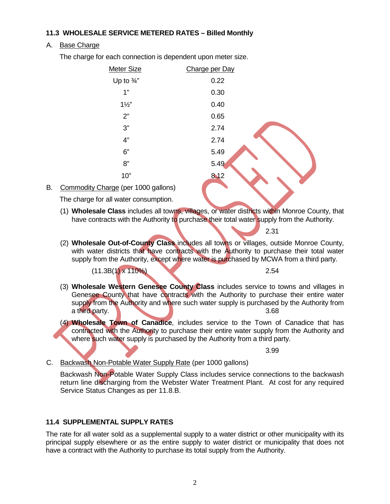#### **11.3 WHOLESALE SERVICE METERED RATES – Billed Monthly**

#### A. Base Charge

The charge for each connection is dependent upon meter size.

| <u>Meter Size</u>     | Charge per Day |  |
|-----------------------|----------------|--|
| Up to $\frac{3}{4}$ " | 0.22           |  |
| 1"                    | 0.30           |  |
| $1\frac{1}{2}$        | 0.40           |  |
| 2"                    | 0.65           |  |
| 3"                    | 2.74           |  |
| 4"                    | 2.74           |  |
| 6"                    | 5.49           |  |
| 8"                    | 5.49           |  |
| 10"                   | 8.12           |  |

#### B. Commodity Charge (per 1000 gallons)

The charge for all water consumption.

(1) **Wholesale Class** includes all towns, villages, or water districts within Monroe County, that have contracts with the Authority to purchase their total water supply from the Authority.

2.31

(2) **Wholesale Out-of-County Class** includes all towns or villages, outside Monroe County, with water districts that have contracts with the Authority to purchase their total water supply from the Authority, except where water is purchased by MCWA from a third party.

 $(11.3B(1) \times 110\%)$  2.54

- (3) **Wholesale Western Genesee County Class** includes service to towns and villages in Genesee County that have contracts with the Authority to purchase their entire water supply from the Authority and where such water supply is purchased by the Authority from a third party. 3.68
- (4) **Wholesale Town of Canadice**, includes service to the Town of Canadice that has contracted with the Authority to purchase their entire water supply from the Authority and where such water supply is purchased by the Authority from a third party.

3.99

#### C. Backwash Non-Potable Water Supply Rate (per 1000 gallons)

Backwash Non-Potable Water Supply Class includes service connections to the backwash return line discharging from the Webster Water Treatment Plant. At cost for any required Service Status Changes as per 11.8.B.

#### **11.4 SUPPLEMENTAL SUPPLY RATES**

The rate for all water sold as a supplemental supply to a water district or other municipality with its principal supply elsewhere or as the entire supply to water district or municipality that does not have a contract with the Authority to purchase its total supply from the Authority.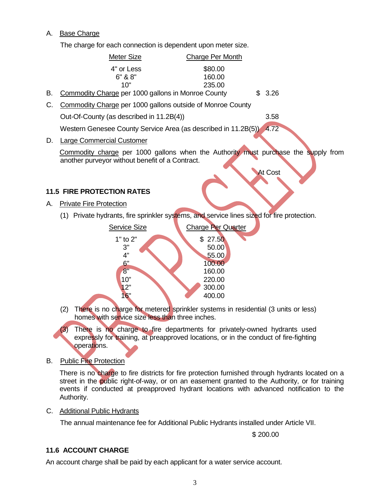#### A. Base Charge

The charge for each connection is dependent upon meter size.



street in the public right-of-way, or on an easement granted to the Authority, or for training events if conducted at preapproved hydrant locations with advanced notification to the Authority.

C. Additional Public Hydrants

The annual maintenance fee for Additional Public Hydrants installed under Article VII.

\$ 200.00

#### **11.6 ACCOUNT CHARGE**

An account charge shall be paid by each applicant for a water service account.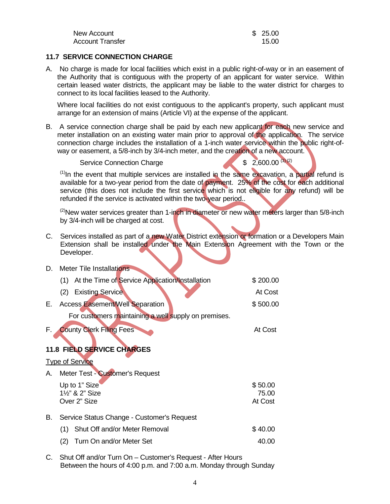| New Account      | \$25.00 |
|------------------|---------|
| Account Transfer | 15.00   |

#### **11.7 SERVICE CONNECTION CHARGE**

A. No charge is made for local facilities which exist in a public right-of-way or in an easement of the Authority that is contiguous with the property of an applicant for water service. Within certain leased water districts, the applicant may be liable to the water district for charges to connect to its local facilities leased to the Authority.

Where local facilities do not exist contiguous to the applicant's property, such applicant must arrange for an extension of mains (Article VI) at the expense of the applicant.

B. A service connection charge shall be paid by each new applicant for each new service and meter installation on an existing water main prior to approval of the application. The service connection charge includes the installation of a 1-inch water service within the public right-ofway or easement, a 5/8-inch by 3/4-inch meter, and the creation of a new account.

Service Connection Charge  $$ 2,600.00^{(1)(2)}$ 

 $<sup>(1)</sup>$ In the event that multiple services are installed in the same excavation, a partial refund is</sup> available for a two-year period from the date of payment. 25% of the cost for each additional service (this does not include the first service which is not eligible for any refund) will be refunded if the service is activated within the two-year period..

 $^{(2)}$ New water services greater than 1-inch in diameter or new water meters larger than 5/8-inch by 3/4-inch will be charged at cost.

C. Services installed as part of a new Water District extension or formation or a Developers Main Extension shall be installed under the Main Extension Agreement with the Town or the Developer.

| D.  | Meter Tile Installations                             |                             |
|-----|------------------------------------------------------|-----------------------------|
|     | (1) At the Time of Service Application/Installation  | \$200.00                    |
|     | <b>Existing Service</b><br>(2)                       | At Cost                     |
| Е.  | <b>Access Easement/Well Separation</b>               | \$500.00                    |
|     | For customers maintaining a well supply on premises. |                             |
| F., | <b>County Clerk Filing Fees</b>                      | At Cost                     |
|     | <b>11.8 FIELD SERVICE CHARGES</b>                    |                             |
|     | <b>Type of Service</b>                               |                             |
| А.  | Meter Test - Customer's Request                      |                             |
|     | Up to 1" Size<br>11/2" & 2" Size<br>Over 2" Size     | \$50.00<br>75.00<br>At Cost |
| В.  | Service Status Change - Customer's Request           |                             |
|     | (1) Shut Off and/or Meter Removal                    | \$40.00                     |
|     | Turn On and/or Meter Set<br>(2)                      | 40.00                       |
|     |                                                      |                             |

C. Shut Off and/or Turn On – Customer's Request - After Hours Between the hours of 4:00 p.m. and 7:00 a.m. Monday through Sunday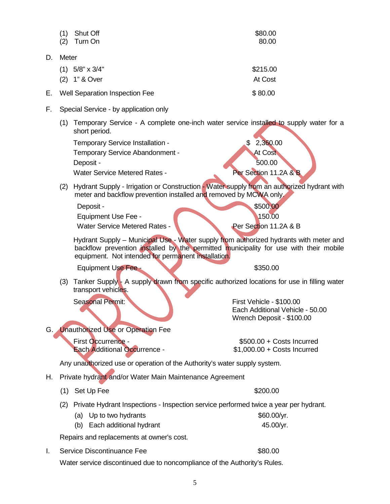|    | (2)   | Turn On                                                                                                                                                                                                                               | 80.00                                                                                    |
|----|-------|---------------------------------------------------------------------------------------------------------------------------------------------------------------------------------------------------------------------------------------|------------------------------------------------------------------------------------------|
| D. | Meter |                                                                                                                                                                                                                                       |                                                                                          |
|    |       | $(1)$ 5/8" x 3/4"                                                                                                                                                                                                                     | \$215.00                                                                                 |
|    |       | (2) 1" & Over                                                                                                                                                                                                                         | At Cost                                                                                  |
| Е. |       | Well Separation Inspection Fee                                                                                                                                                                                                        | \$80.00                                                                                  |
| F. |       | Special Service - by application only                                                                                                                                                                                                 |                                                                                          |
|    |       | (1) Temporary Service - A complete one-inch water service installed to supply water for a<br>short period.                                                                                                                            |                                                                                          |
|    |       | Temporary Service Installation -<br>Temporary Service Abandonment -<br>Deposit -<br><b>Water Service Metered Rates -</b>                                                                                                              | 2,360.00<br>At Cost<br>500.00<br>Per Section 11.2A & B                                   |
|    | (2)   | Hydrant Supply - Irrigation or Construction - Water supply from an authorized hydrant with<br>meter and backflow prevention installed and removed by MCWA only.                                                                       |                                                                                          |
|    |       | Deposit -<br><b>Equipment Use Fee -</b><br><b>Water Service Metered Rates -</b>                                                                                                                                                       | \$500.00<br>150.00<br>Per Section 11.2A & B                                              |
|    |       | Hydrant Supply – Municipal Use - Water supply from authorized hydrants with meter and<br>backflow prevention installed by the permitted municipality for use with their mobile<br>equipment. Not intended for permanent installation. |                                                                                          |
|    |       | <b>Equipment Use Fee -</b>                                                                                                                                                                                                            | \$350.00                                                                                 |
|    | (3)   | Tanker Supply - A supply drawn from specific authorized locations for use in filling water<br>transport vehicles.                                                                                                                     |                                                                                          |
|    |       | <b>Seasonal Permit:</b>                                                                                                                                                                                                               | First Vehicle - \$100.00<br>Each Additional Vehicle - 50.00<br>Wrench Deposit - \$100.00 |
|    |       | G. Unauthorized Use or Operation Fee                                                                                                                                                                                                  |                                                                                          |
|    |       | First Occurrence -<br><b>Each Additional Occurrence -</b>                                                                                                                                                                             | \$500.00 + Costs Incurred<br>$$1,000.00 + Cost$ Incurred                                 |
|    |       | Any unauthorized use or operation of the Authority's water supply system.                                                                                                                                                             |                                                                                          |
| Η. |       | Private hydrant and/or Water Main Maintenance Agreement                                                                                                                                                                               |                                                                                          |
|    |       | (1) Set Up Fee                                                                                                                                                                                                                        | \$200.00                                                                                 |
|    | (2)   | Private Hydrant Inspections - Inspection service performed twice a year per hydrant.<br>(a) Up to two hydrants<br>Each additional hydrant<br>(b)                                                                                      | \$60.00/yr.<br>45.00/yr.                                                                 |
|    |       | Repairs and replacements at owner's cost.                                                                                                                                                                                             |                                                                                          |
| Ι. |       | Service Discontinuance Fee                                                                                                                                                                                                            | \$80.00                                                                                  |
|    |       | Water service discontinued due to noncompliance of the Authority's Rules.                                                                                                                                                             |                                                                                          |
|    |       | 5                                                                                                                                                                                                                                     |                                                                                          |
|    |       |                                                                                                                                                                                                                                       |                                                                                          |

 $(1)$  Shut Off  $$80.00$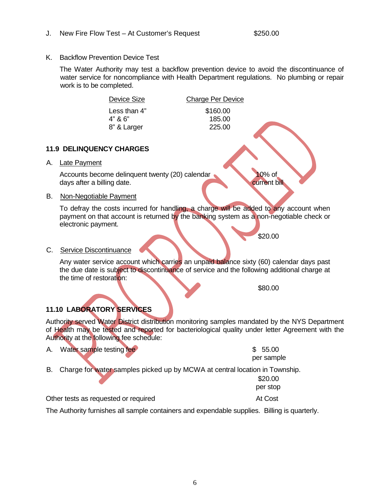K. Backflow Prevention Device Test

The Water Authority may test a backflow prevention device to avoid the discontinuance of water service for noncompliance with Health Department regulations. No plumbing or repair work is to be completed.

185.00

Device Size Charge Per Device Less than 4" \$160.00 8" & Larger 225.00

#### **11.9 DELINQUENCY CHARGES**

A. Late Payment

Accounts become delinquent twenty (20) calendar 10% of days after a billing date.

#### B. Non-Negotiable Payment

To defray the costs incurred for handling, a charge will be added to any account when payment on that account is returned by the banking system as a non-negotiable check or electronic payment.

\$20.00

#### C. Service Discontinuance

Any water service account which carries an unpaid balance sixty (60) calendar days past the due date is subject to discontinuance of service and the following additional charge at the time of restoration:

\$80.00

#### **11.10 LABORATORY SERVICES**

Authority served Water District distribution monitoring samples mandated by the NYS Department of Health may be tested and reported for bacteriological quality under letter Agreement with the Authority at the following fee schedule:

| A. Water sample testing fee | \$55.00    |
|-----------------------------|------------|
|                             | per sample |

B. Charge for water samples picked up by MCWA at central location in Township.

|                                      | \$20.00  |
|--------------------------------------|----------|
|                                      | per stop |
| Other tests as requested or required | At Cost  |

The Authority furnishes all sample containers and expendable supplies. Billing is quarterly.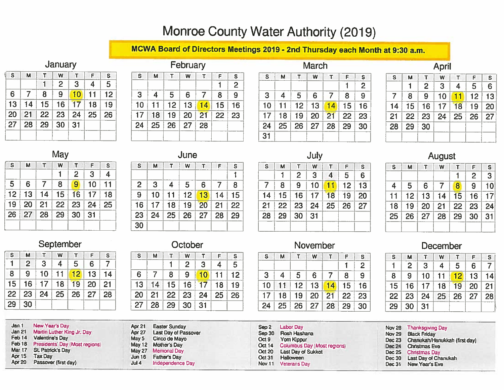## Monroe County Water Authority (2019)

### MCWA Board of Directors Meetings 2019 - 2nd Thursday each Month at 9:30 a.m.

#### January

| s  | M  | т                | W              | т  | F  | S  |  |
|----|----|------------------|----------------|----|----|----|--|
|    |    |                  | $\overline{2}$ | 3  | 4  | 5  |  |
| 6  | 7  | 8                | 9              | 10 | 11 | 12 |  |
| 13 | 14 | 15 <sub>15</sub> | 16             | 17 | 18 | 19 |  |
| 20 | 21 | 22               | 23             | 24 | 25 | 26 |  |
| 27 | 28 | 29               | 30             | 31 |    |    |  |
|    |    |                  |                |    |    |    |  |
|    |    |                  |                |    |    |    |  |

| February |    |    |    |    |    |                |  |
|----------|----|----|----|----|----|----------------|--|
| S        | M  | т  | W  | т  | F  | S              |  |
|          |    |    |    |    |    | $\overline{2}$ |  |
| 3        | 4  | 5  | 6  | 7  | 8  | 9              |  |
| 10       | 11 | 12 | 13 | 14 | 15 | 16             |  |
| 17       | 18 | 19 | 20 | 21 | 22 | 23             |  |
| 24       | 25 | 26 | 27 | 28 |    |                |  |
|          |    |    |    |    |    |                |  |

| March |    |    |    |                |    |    |  |
|-------|----|----|----|----------------|----|----|--|
| S     | м  | т  | W  | т              | F  | S  |  |
|       |    |    |    |                |    | 2  |  |
| 3     | 4  | 5  | 6  | $\overline{7}$ | 8  | 9  |  |
| 10    | 11 | 12 | 13 | 14             | 15 | 16 |  |
| 17    | 18 | 19 | 20 | 21             | 22 | 23 |  |
| 24    | 25 | 26 | 27 | 28             | 29 | 30 |  |
| 31    |    |    |    |                |    |    |  |

April

| <sub>S</sub>   | М  | т              | W  | т  | F  | S  |
|----------------|----|----------------|----|----|----|----|
|                |    | $\overline{2}$ | 3  | 4  | 5  | 6  |
| $\overline{7}$ | 8  | 9              | 10 | 11 | 12 | 13 |
| 14             | 15 | 16             | 17 | 18 | 19 | 20 |
| 21             | 22 | 23             | 24 | 25 | 26 | 27 |
| 28             | 29 | 30             |    |    |    |    |
|                |    |                |    |    |    |    |
|                |    |                |    |    |    |    |

| <b>S</b>        | М  | т         | W  | т              | F  | S                       |
|-----------------|----|-----------|----|----------------|----|-------------------------|
|                 |    |           |    | $\overline{2}$ | 3  | $\overline{\mathbf{4}}$ |
| $5\overline{)}$ | 6  | 7         | 8  | 9              | 10 | 11                      |
| 12 <sup>°</sup> | 13 | 14        | 15 | 16             | 17 | 18                      |
| 19              | 20 | $\mid$ 21 | 22 | 23             | 24 | 25                      |
| 26              | 27 | 28        | 29 | 30             | 31 |                         |
|                 |    |           |    |                |    |                         |

| June |
|------|
|------|

|                | ----- |    |    |    |    |    |  |  |  |
|----------------|-------|----|----|----|----|----|--|--|--|
| $\mathbf{s}$   | M     | т  | W  | т  | F  | s  |  |  |  |
|                |       |    |    |    |    |    |  |  |  |
| $\overline{2}$ | 3     | 4  | 5  | 6  | 7  | 8  |  |  |  |
| $\overline{9}$ | 10    | 11 | 12 | 13 | 14 | 15 |  |  |  |
| 16             | 17    | 18 | 19 | 20 | 21 | 22 |  |  |  |
| 23             | 24    | 25 | 26 | 27 | 28 | 29 |  |  |  |
| 30             |       |    |    |    |    |    |  |  |  |
|                |       |    |    |    |    |    |  |  |  |

| July         |    |    |    |                    |    |    |  |  |  |
|--------------|----|----|----|--------------------|----|----|--|--|--|
| $\mathbf{s}$ | М  | т  | W  | Τ                  | F  | S  |  |  |  |
|              |    | 2  | 3  | $\overline{\bf 4}$ | 5  | 6  |  |  |  |
| 7            | 8  | 9  | 10 | 11                 | 12 | 13 |  |  |  |
| 14           | 15 | 16 | 17 | 18                 | 19 | 20 |  |  |  |
| 21           | 22 | 23 | 24 | 25                 | 26 | 27 |  |  |  |
| 28           | 29 | 30 | 31 |                    |    |    |  |  |  |
|              |    |    |    |                    |    |    |  |  |  |

#### August

| <b>S</b>        | M         | $\mathsf T$ | W  | т               | F  | S.             |
|-----------------|-----------|-------------|----|-----------------|----|----------------|
|                 |           |             |    |                 | 2  | 3 <sup>1</sup> |
| $\overline{4}$  | 5         | 6           | 7  | 8               | 9  | 10             |
| 11              | $12 -$    | 13          | 14 | 15              | 16 | 17             |
| 18              | $19-$     | 20          | 21 | 22 <sub>2</sub> | 23 | 24             |
| 25 <sub>1</sub> | <b>26</b> | 27          | 28 | 29              | 30 | 31             |
|                 |           |             |    |                 |    |                |
|                 |           |             |    |                 |    |                |

| <b>OEDIGHIDGI</b> |    |   |    |   |  |  |  |
|-------------------|----|---|----|---|--|--|--|
| м                 |    | W |    | ⊏ |  |  |  |
| 2                 | 3  | 4 | 5  | 6 |  |  |  |
| 9                 | 10 |   | 12 | 3 |  |  |  |
|                   |    |   |    |   |  |  |  |

#### *<u>Rantamhar</u>*

| S               | м  |                 | W     |                             | F           | <sub>S</sub> |
|-----------------|----|-----------------|-------|-----------------------------|-------------|--------------|
|                 | 2  | 3               | 4     | 5                           | 6           |              |
| 8               | 9  | 10 <sup>1</sup> | $-11$ |                             | $12$ 13     | 14           |
| 15 <sub>1</sub> | 16 | 17 <sup>1</sup> | 18    | 19                          | $\sqrt{20}$ | 21           |
|                 |    |                 |       | 22   23   24   25   26   27 |             | 28           |
| 29              | 30 |                 |       |                             |             |              |

| October |
|---------|
|---------|

| S  | М  |              | w              |    | F  | S  |
|----|----|--------------|----------------|----|----|----|
|    |    |              | $\overline{2}$ | 3  | 4  | 5  |
| 6  |    | 8            | 9              | 10 | 11 | 12 |
| 13 | 14 | 15           | 16             | 17 | 18 | 19 |
| 20 | 21 | $22 \mid 23$ |                | 24 | 25 | 26 |
| 27 | 28 | 29           | 30             | 31 |    |    |

| S  | м               |    | W  |            | F  | s  |
|----|-----------------|----|----|------------|----|----|
|    |                 |    |    |            |    | 2  |
| 3  | 4               | 5  | 6  |            | 8  | 9  |
| 10 |                 | 12 | 13 | 14         | 15 | 16 |
| 17 | 18              | 19 | 20 | $\vert$ 21 | 22 | 23 |
| 24 | 25 <sub>1</sub> | 26 | 27 | 28         | 29 | 30 |

November

#### December

| S  | М  |    | W  |    | F  | s  |
|----|----|----|----|----|----|----|
|    | 2  | 3  | 4  | 5  | 6  |    |
| 8  | 9  | 10 | 11 | 12 | 13 | 14 |
| 15 | 16 | 17 | 18 | 19 | 20 | 21 |
| 22 | 23 | 24 | 25 | 26 | 27 | 28 |
| 29 | 30 | 31 |    |    |    |    |

| Jan <sub>1</sub> | New Year's Day<br>Jan 21 Martin Luther King Jr. Day<br>Feb 14 Valentine's Day<br>Feb 18 Presidents' Day (Most regions)<br>Mar 17 St. Patrick's Day<br>Apr 15 Tax Day |       | Apr 21 Easter Sunday<br>Apr 27 Last Day of Passover<br>May 5 Cinco de Mayo<br>May 12 Mother's Day<br>May 27 Memorial Day<br>Jun 16 Father's Day | Oct <sub>9</sub> | Sep 2 Labor Day<br>Sep 30 Rosh Hashana<br>Yom Kippur<br>Oct 14 Columbus Day (Most regions)<br>Oct 20 Last Day of Sukkot | Nov 28 Thanksgiving Day<br>Nov 29 Black Friday<br>Dec 23 Chanukah/Hanukkah (first day)<br>Dec 24 Christmas Eve<br>Dec 25 Christmas Day |
|------------------|----------------------------------------------------------------------------------------------------------------------------------------------------------------------|-------|-------------------------------------------------------------------------------------------------------------------------------------------------|------------------|-------------------------------------------------------------------------------------------------------------------------|----------------------------------------------------------------------------------------------------------------------------------------|
|                  |                                                                                                                                                                      |       |                                                                                                                                                 | Oct 31           | Halloween                                                                                                               | Dec 30 Last Day of Chanukah                                                                                                            |
|                  | Apr 20 Passover (first day)                                                                                                                                          | Jul 4 | Independence Day                                                                                                                                |                  | Nov 11 Veterans Day                                                                                                     | Dec 31 New Year's Eve                                                                                                                  |